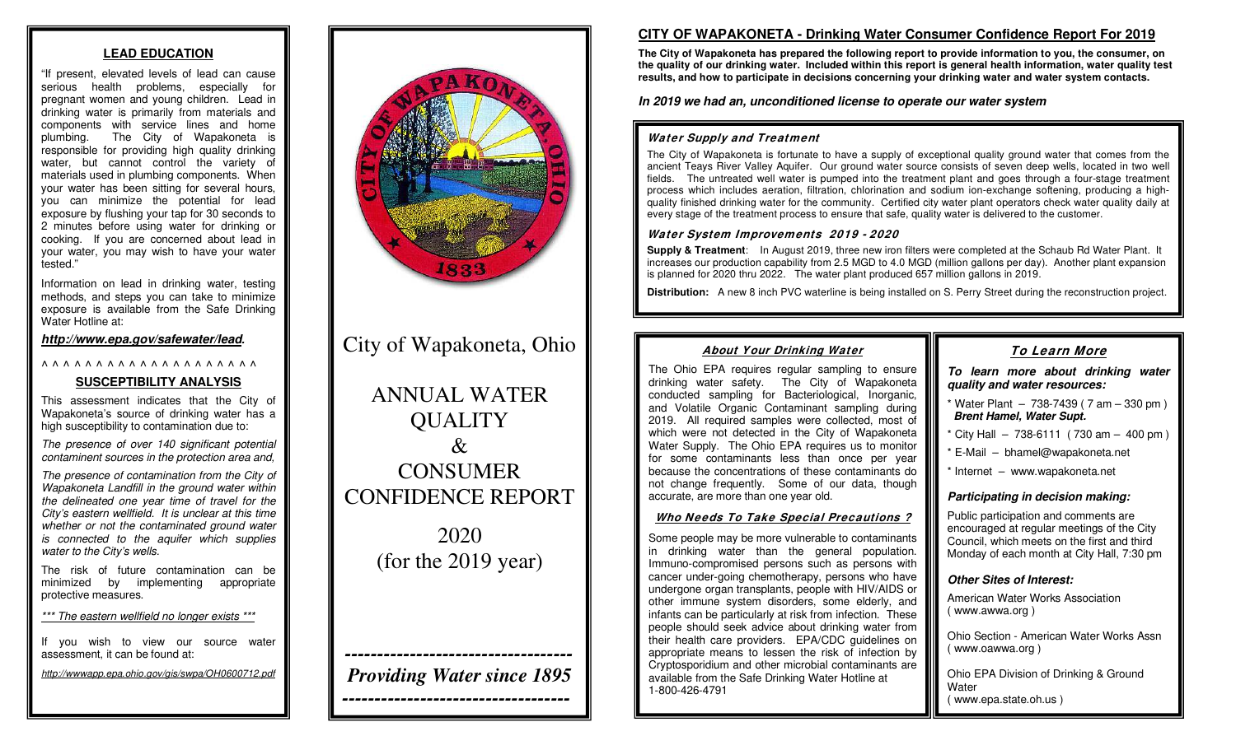#### **LEAD EDUCATION**

"If present, elevated levels of lead can cause serious health problems, especially for pregnant women and young children. Lead in drinking water is primarily from materials and components with service lines and home plumbing. The City of Wapakoneta is responsible for providing high quality drinking water, but cannot control the variety of materials used in plumbing components. When your water has been sitting for several hours, you can minimize the potential for lead exposure by flushing your tap for 30 seconds to 2 minutes before using water for drinking or cooking. If you are concerned about lead in your water, you may wish to have your water tested."

Information on lead in drinking water, testing methods, and steps you can take to minimize exposure is available from the Safe Drinking Water Hotline at:

*<http://www.epa.gov/safewater/lead>.* 

#### ^ ^ ^ ^ ^ ^ ^ ^ ^ ^ ^ ^ ^ ^ ^ ^ ^ ^ ^ ^

#### **SUSCEPTIBILITY ANALYSIS**

This assessment indicates that the City of Wapakoneta's source of drinking water has a high susceptibility to contamination due to:

*The presence of over 140 significant potential contaminent sources in the protection area and,*

*The presence of contamination from the City of Wapakoneta Landfill in the ground water within the delineated one year time of travel for the City's eastern wellfield. It is unclear at this time whether or not the contaminated ground water is connected to the aquifer which supplies water to the City's wells.*

The risk of future contamination can be minimized by implementing appropriate protective measures.

*\*\*\* The eastern wellfield no longer exists \*\*\**

If you wish to view our source water assessment, it can be found at:

*http://wwwapp.epa.ohio.gov/gis/swpa/OH0600712.pdf*



# City of Wapakoneta, Ohio

ANNUAL WATER **QUALITY**  $\mathcal{R}_{\mathcal{I}}$ CONSUMER CONFIDENCE REPORT

> 2020 (for the 2019 year)

*----------------------------------- Providing Water since 1895*

*-----------------------------------*

# **CITY OF WAPAKONETA - Drinking Water Consumer Confidence Report For 2019**

**The City of Wapakoneta has prepared the following report to provide information to you, the consumer, on the quality of our drinking water. Included within this report is general health information, water quality test results, and how to participate in decisions concerning your drinking water and water system contacts.**

*In 2019 we had an, unconditioned license to operate our water system*

## **Water Supply and Treatment**

The City of Wapakoneta is fortunate to have a supply of exceptional quality ground water that comes from the ancient Teays River Valley Aquifer. Our ground water source consists of seven deep wells, located in two well fields. The untreated well water is pumped into the treatment plant and goes through a four-stage treatment process which includes aeration, filtration, chlorination and sodium ion-exchange softening, producing a highquality finished drinking water for the community. Certified city water plant operators check water quality daily at every stage of the treatment process to ensure that safe, quality water is delivered to the customer.

#### **Water System Improvements 2019 - 2020**

**Supply & Treatment**: In August 2019, three new iron filters were completed at the Schaub Rd Water Plant. It increases our production capability from 2.5 MGD to 4.0 MGD (million gallons per day). Another plant expansion is planned for 2020 thru 2022. The water plant produced 657 million gallons in 2019.

**Distribution:** A new 8 inch PVC waterline is being installed on S. Perry Street during the reconstruction project.

#### **About Your Drinking Water**

#### **To Learn More**

The Ohio EPA requires regular sampling to ensure drinking water safety. The City of Wapakoneta conducted sampling for Bacteriological, Inorganic, and Volatile Organic Contaminant sampling during 2019. All required samples were collected, most of which were not detected in the City of Wapakoneta Water Supply. The Ohio EPA requires us to monitor for some contaminants less than once per year because the concentrations of these contaminants do not change frequently. Some of our data, though accurate, are more than one year old.

#### **Who Needs To Take Special Precautions ?**

Some people may be more vulnerable to contaminants in drinking water than the general population. Immuno-compromised persons such as persons with cancer under-going chemotherapy, persons who have undergone organ transplants, people with HIV/AIDS or other immune system disorders, some elderly, and infants can be particularly at risk from infection. These people should seek advice about drinking water from their health care providers. EPA/CDC guidelines on appropriate means to lessen the risk of infection by Cryptosporidium and other microbial contaminants are available from the Safe Drinking Water Hotline at 1-800-426-4791

*To learn more about drinking water quality and water resources:* 

- $*$  Water Plant  $-738-7439$  ( 7 am  $-330$  pm ) *Brent Hamel, Water Supt.*
- $\frac{1}{2}$  City Hall 738-6111 ( 730 am 400 pm )
- $E$ -Mail bhamel@wapakoneta.net
- \* Internet www.wapakoneta.net

# *Participating in decision making:*

Public participation and comments are encouraged at regular meetings of the City Council, which meets on the first and third Monday of each month at City Hall, 7:30 pm

# *Other Sites of Interest:*

American Water Works Association ( www.awwa.org )

Ohio Section - American Water Works Assn ( www.oawwa.org )

Ohio EPA Division of Drinking & Ground Water ( www.epa.state.oh.us )